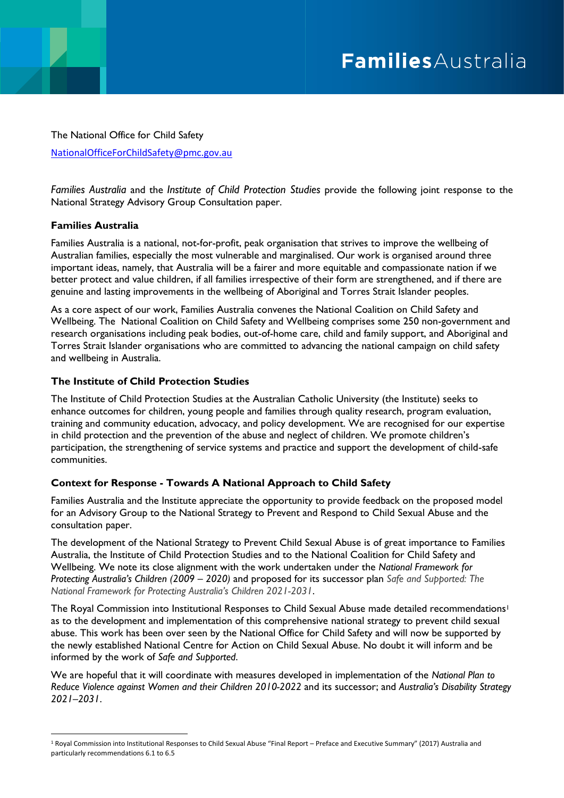# FamiliesAustralia

The National Office for Child Safety [NationalOfficeForChildSafety@pmc.gov.au](mailto:NationalOfficeForChildSafety@pmc.gov.au)

*Families Australia* and the *Institute of Child Protection Studies* provide the following joint response to the National Strategy Advisory Group Consultation paper.

# **Families Australia**

Families Australia is a national, not-for-profit, peak organisation that strives to improve the wellbeing of Australian families, especially the most vulnerable and marginalised. Our work is organised around three important ideas, namely, that Australia will be a fairer and more equitable and compassionate nation if we better protect and value children, if all families irrespective of their form are strengthened, and if there are genuine and lasting improvements in the wellbeing of Aboriginal and Torres Strait Islander peoples.

As a core aspect of our work, Families Australia convenes the National Coalition on Child Safety and Wellbeing. The National Coalition on Child Safety and Wellbeing comprises some 250 non-government and research organisations including peak bodies, out-of-home care, child and family support, and Aboriginal and Torres Strait Islander organisations who are committed to advancing the national campaign on child safety and wellbeing in Australia.

### **The Institute of Child Protection Studies**

The Institute of Child Protection Studies at the Australian Catholic University (the Institute) seeks to enhance outcomes for children, young people and families through quality research, program evaluation, training and community education, advocacy, and policy development. We are recognised for our expertise in child protection and the prevention of the abuse and neglect of children. We promote children's participation, the strengthening of service systems and practice and support the development of child-safe communities.

# **Context for Response - Towards A National Approach to Child Safety**

Families Australia and the Institute appreciate the opportunity to provide feedback on the proposed model for an Advisory Group to the National Strategy to Prevent and Respond to Child Sexual Abuse and the consultation paper.

The development of the National Strategy to Prevent Child Sexual Abuse is of great importance to Families Australia, the Institute of Child Protection Studies and to the National Coalition for Child Safety and Wellbeing. We note its close alignment with the work undertaken under the *National Framework for Protecting Australia's Children (2009 – 2020)* and proposed for its successor plan *Safe and Supported: The National Framework for Protecting Australia's Children 2021-2031*.

The Royal Commission into Institutional Responses to Child Sexual Abuse made detailed recommendations<sup>1</sup> as to the development and implementation of this comprehensive national strategy to prevent child sexual abuse. This work has been over seen by the National Office for Child Safety and will now be supported by the newly established National Centre for Action on Child Sexual Abuse. No doubt it will inform and be informed by the work of *Safe and Supported*.

We are hopeful that it will coordinate with measures developed in implementation of the *National Plan to Reduce Violence against Women and their Children 2010-2022* and its successor; and *Australia's Disability Strategy 2021–2031*.

<sup>1</sup> Royal Commission into Institutional Responses to Child Sexual Abuse "Final Report – Preface and Executive Summary" (2017) Australia and particularly recommendations 6.1 to 6.5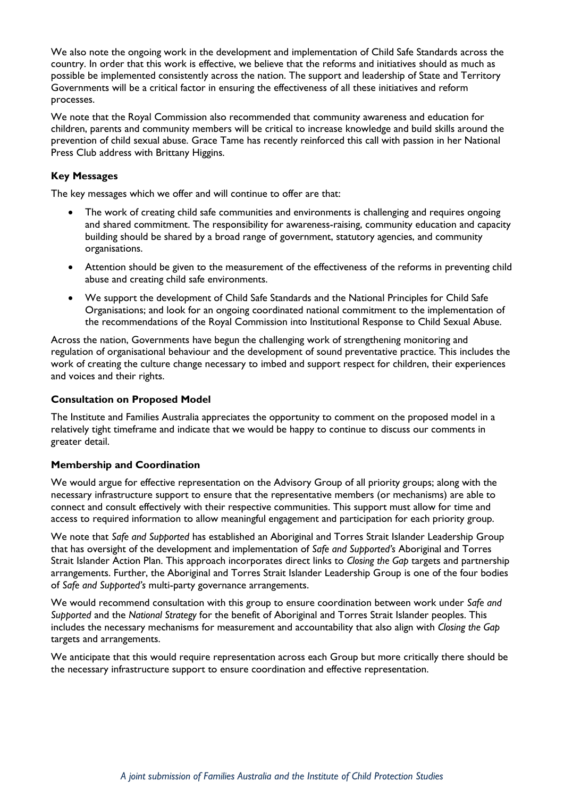We also note the ongoing work in the development and implementation of Child Safe Standards across the country. In order that this work is effective, we believe that the reforms and initiatives should as much as possible be implemented consistently across the nation. The support and leadership of State and Territory Governments will be a critical factor in ensuring the effectiveness of all these initiatives and reform processes.

We note that the Royal Commission also recommended that community awareness and education for children, parents and community members will be critical to increase knowledge and build skills around the prevention of child sexual abuse. Grace Tame has recently reinforced this call with passion in her National Press Club address with Brittany Higgins.

## **Key Messages**

The key messages which we offer and will continue to offer are that:

- The work of creating child safe communities and environments is challenging and requires ongoing and shared commitment. The responsibility for awareness-raising, community education and capacity building should be shared by a broad range of government, statutory agencies, and community organisations.
- Attention should be given to the measurement of the effectiveness of the reforms in preventing child abuse and creating child safe environments.
- We support the development of Child Safe Standards and the National Principles for Child Safe Organisations; and look for an ongoing coordinated national commitment to the implementation of the recommendations of the Royal Commission into Institutional Response to Child Sexual Abuse.

Across the nation, Governments have begun the challenging work of strengthening monitoring and regulation of organisational behaviour and the development of sound preventative practice. This includes the work of creating the culture change necessary to imbed and support respect for children, their experiences and voices and their rights.

#### **Consultation on Proposed Model**

The Institute and Families Australia appreciates the opportunity to comment on the proposed model in a relatively tight timeframe and indicate that we would be happy to continue to discuss our comments in greater detail.

#### **Membership and Coordination**

We would argue for effective representation on the Advisory Group of all priority groups; along with the necessary infrastructure support to ensure that the representative members (or mechanisms) are able to connect and consult effectively with their respective communities. This support must allow for time and access to required information to allow meaningful engagement and participation for each priority group.

We note that *Safe and Supported* has established an Aboriginal and Torres Strait Islander Leadership Group that has oversight of the development and implementation of *Safe and Supported's* Aboriginal and Torres Strait Islander Action Plan. This approach incorporates direct links to *Closing the Gap* targets and partnership arrangements. Further, the Aboriginal and Torres Strait Islander Leadership Group is one of the four bodies of *Safe and Supported's* multi-party governance arrangements.

We would recommend consultation with this group to ensure coordination between work under *Safe and Supported* and the *National Strategy* for the benefit of Aboriginal and Torres Strait Islander peoples. This includes the necessary mechanisms for measurement and accountability that also align with *Closing the Gap* targets and arrangements.

We anticipate that this would require representation across each Group but more critically there should be the necessary infrastructure support to ensure coordination and effective representation.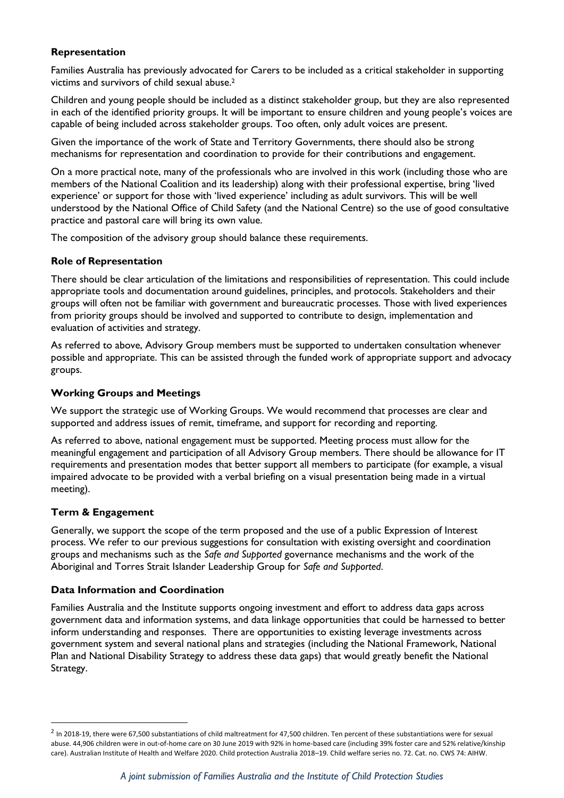## **Representation**

Families Australia has previously advocated for Carers to be included as a critical stakeholder in supporting victims and survivors of child sexual abuse.<sup>2</sup>

Children and young people should be included as a distinct stakeholder group, but they are also represented in each of the identified priority groups. It will be important to ensure children and young people's voices are capable of being included across stakeholder groups. Too often, only adult voices are present.

Given the importance of the work of State and Territory Governments, there should also be strong mechanisms for representation and coordination to provide for their contributions and engagement.

On a more practical note, many of the professionals who are involved in this work (including those who are members of the National Coalition and its leadership) along with their professional expertise, bring 'lived experience' or support for those with 'lived experience' including as adult survivors. This will be well understood by the National Office of Child Safety (and the National Centre) so the use of good consultative practice and pastoral care will bring its own value.

The composition of the advisory group should balance these requirements.

# **Role of Representation**

There should be clear articulation of the limitations and responsibilities of representation. This could include appropriate tools and documentation around guidelines, principles, and protocols. Stakeholders and their groups will often not be familiar with government and bureaucratic processes. Those with lived experiences from priority groups should be involved and supported to contribute to design, implementation and evaluation of activities and strategy.

As referred to above, Advisory Group members must be supported to undertaken consultation whenever possible and appropriate. This can be assisted through the funded work of appropriate support and advocacy groups.

# **Working Groups and Meetings**

We support the strategic use of Working Groups. We would recommend that processes are clear and supported and address issues of remit, timeframe, and support for recording and reporting.

As referred to above, national engagement must be supported. Meeting process must allow for the meaningful engagement and participation of all Advisory Group members. There should be allowance for IT requirements and presentation modes that better support all members to participate (for example, a visual impaired advocate to be provided with a verbal briefing on a visual presentation being made in a virtual meeting).

# **Term & Engagement**

Generally, we support the scope of the term proposed and the use of a public Expression of Interest process. We refer to our previous suggestions for consultation with existing oversight and coordination groups and mechanisms such as the *Safe and Supported* governance mechanisms and the work of the Aboriginal and Torres Strait Islander Leadership Group for *Safe and Supported*.

# **Data Information and Coordination**

Families Australia and the Institute supports ongoing investment and effort to address data gaps across government data and information systems, and data linkage opportunities that could be harnessed to better inform understanding and responses. There are opportunities to existing leverage investments across government system and several national plans and strategies (including the National Framework, National Plan and National Disability Strategy to address these data gaps) that would greatly benefit the National Strategy.

 $^2$  In 2018-19, there were 67,500 substantiations of child maltreatment for 47,500 children. Ten percent of these substantiations were for sexual abuse. 44,906 children were in out-of-home care on 30 June 2019 with 92% in home-based care (including 39% foster care and 52% relative/kinship care). Australian Institute of Health and Welfare 2020. Child protection Australia 2018–19. Child welfare series no. 72. Cat. no. CWS 74: AIHW.